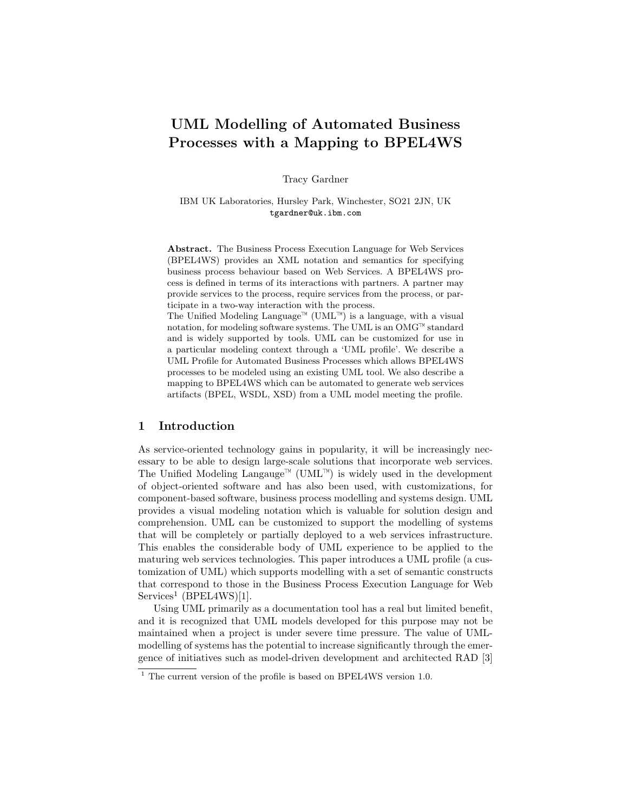# UML Modelling of Automated Business Processes with a Mapping to BPEL4WS

Tracy Gardner

IBM UK Laboratories, Hursley Park, Winchester, SO21 2JN, UK tgardner@uk.ibm.com

Abstract. The Business Process Execution Language for Web Services (BPEL4WS) provides an XML notation and semantics for specifying business process behaviour based on Web Services. A BPEL4WS process is defined in terms of its interactions with partners. A partner may provide services to the process, require services from the process, or participate in a two-way interaction with the process.

The Unified Modeling Language<sup>™</sup> (UML<sup>™</sup>) is a language, with a visual notation, for modeling software systems. The UML is an  $OMG^{\top M}$  standard and is widely supported by tools. UML can be customized for use in a particular modeling context through a 'UML profile'. We describe a UML Profile for Automated Business Processes which allows BPEL4WS processes to be modeled using an existing UML tool. We also describe a mapping to BPEL4WS which can be automated to generate web services artifacts (BPEL, WSDL, XSD) from a UML model meeting the profile.

#### 1 Introduction

As service-oriented technology gains in popularity, it will be increasingly necessary to be able to design large-scale solutions that incorporate web services. The Unified Modeling Langauge<sup> $M$ </sup> (UML<sup> $M$ </sup>) is widely used in the development of object-oriented software and has also been used, with customizations, for component-based software, business process modelling and systems design. UML provides a visual modeling notation which is valuable for solution design and comprehension. UML can be customized to support the modelling of systems that will be completely or partially deployed to a web services infrastructure. This enables the considerable body of UML experience to be applied to the maturing web services technologies. This paper introduces a UML profile (a customization of UML) which supports modelling with a set of semantic constructs that correspond to those in the Business Process Execution Language for Web Services<sup>1</sup> (BPEL4WS)[1].

Using UML primarily as a documentation tool has a real but limited benefit, and it is recognized that UML models developed for this purpose may not be maintained when a project is under severe time pressure. The value of UMLmodelling of systems has the potential to increase significantly through the emergence of initiatives such as model-driven development and architected RAD [3]

 $1$ <sup>1</sup> The current version of the profile is based on BPEL4WS version 1.0.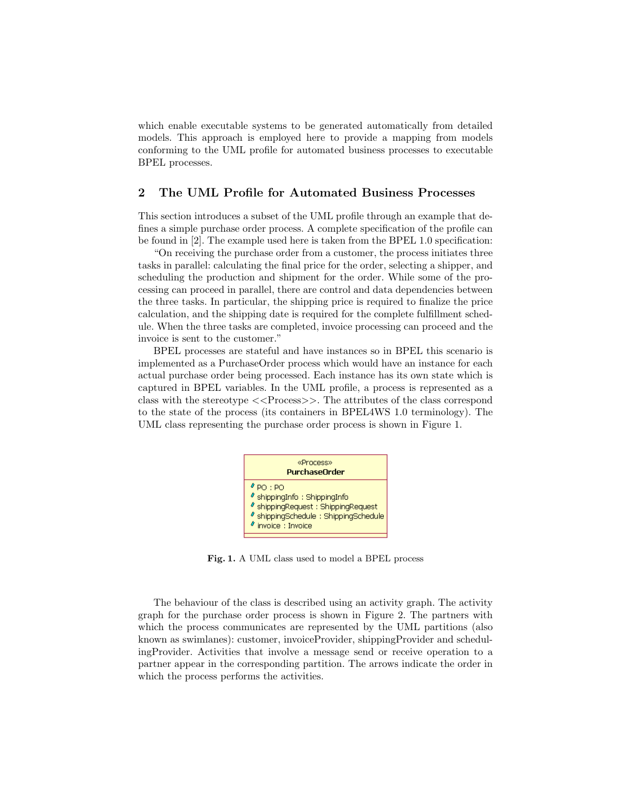which enable executable systems to be generated automatically from detailed models. This approach is employed here to provide a mapping from models conforming to the UML profile for automated business processes to executable BPEL processes.

#### 2 The UML Profile for Automated Business Processes

This section introduces a subset of the UML profile through an example that defines a simple purchase order process. A complete specification of the profile can be found in [2]. The example used here is taken from the BPEL 1.0 specification:

"On receiving the purchase order from a customer, the process initiates three tasks in parallel: calculating the final price for the order, selecting a shipper, and scheduling the production and shipment for the order. While some of the processing can proceed in parallel, there are control and data dependencies between the three tasks. In particular, the shipping price is required to finalize the price calculation, and the shipping date is required for the complete fulfillment schedule. When the three tasks are completed, invoice processing can proceed and the invoice is sent to the customer."

BPEL processes are stateful and have instances so in BPEL this scenario is implemented as a PurchaseOrder process which would have an instance for each actual purchase order being processed. Each instance has its own state which is captured in BPEL variables. In the UML profile, a process is represented as a class with the stereotype <<Process>>. The attributes of the class correspond to the state of the process (its containers in BPEL4WS 1.0 terminology). The UML class representing the purchase order process is shown in Figure 1.



Fig. 1. A UML class used to model a BPEL process

The behaviour of the class is described using an activity graph. The activity graph for the purchase order process is shown in Figure 2. The partners with which the process communicates are represented by the UML partitions (also known as swimlanes): customer, invoiceProvider, shippingProvider and schedulingProvider. Activities that involve a message send or receive operation to a partner appear in the corresponding partition. The arrows indicate the order in which the process performs the activities.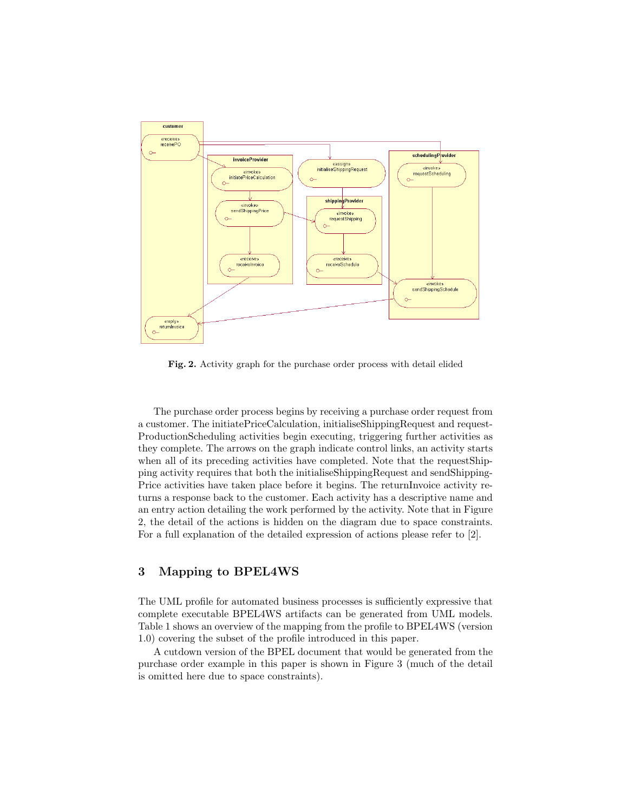

Fig. 2. Activity graph for the purchase order process with detail elided

The purchase order process begins by receiving a purchase order request from a customer. The initiatePriceCalculation, initialiseShippingRequest and request-ProductionScheduling activities begin executing, triggering further activities as they complete. The arrows on the graph indicate control links, an activity starts when all of its preceding activities have completed. Note that the requestShipping activity requires that both the initialiseShippingRequest and sendShipping-Price activities have taken place before it begins. The returnInvoice activity returns a response back to the customer. Each activity has a descriptive name and an entry action detailing the work performed by the activity. Note that in Figure 2, the detail of the actions is hidden on the diagram due to space constraints. For a full explanation of the detailed expression of actions please refer to [2].

## 3 Mapping to BPEL4WS

The UML profile for automated business processes is sufficiently expressive that complete executable BPEL4WS artifacts can be generated from UML models. Table 1 shows an overview of the mapping from the profile to BPEL4WS (version 1.0) covering the subset of the profile introduced in this paper.

A cutdown version of the BPEL document that would be generated from the purchase order example in this paper is shown in Figure 3 (much of the detail is omitted here due to space constraints).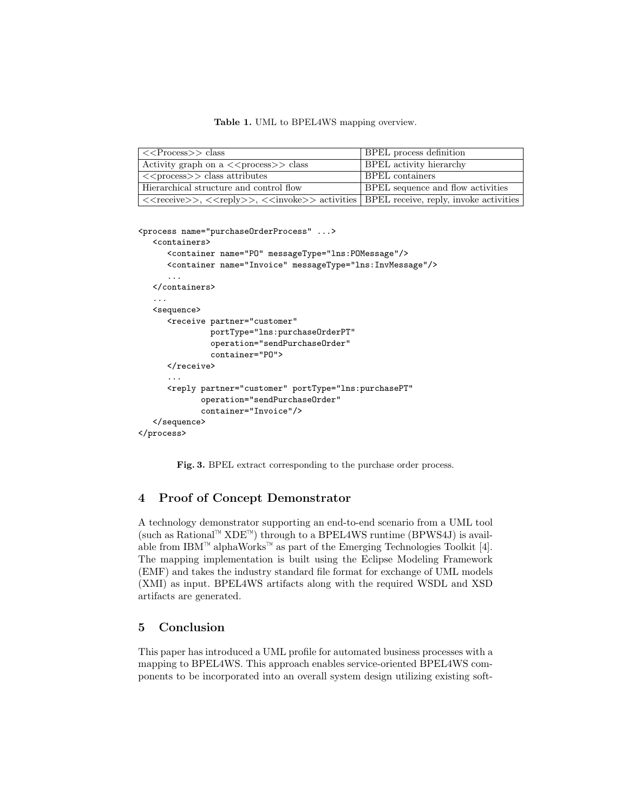Table 1. UML to BPEL4WS mapping overview.

| $<<$ Process $>>$ class                                                                                                                                                                               | BPEL process definition                  |
|-------------------------------------------------------------------------------------------------------------------------------------------------------------------------------------------------------|------------------------------------------|
| Activity graph on $a \le$ process >> class                                                                                                                                                            | BPEL activity hierarchy                  |
| $\langle$ $\langle$ process $\rangle$ class attributes                                                                                                                                                | <b>BPEL</b> containers                   |
| Hierarchical structure and control flow                                                                                                                                                               | <b>BPEL</b> sequence and flow activities |
| $\langle \langle \text{receive} \rangle \rangle$ , $\langle \langle \text{reply} \rangle \rangle$ , $\langle \langle \text{invoke} \rangle \rangle$ activities BPEL receive, reply, invoke activities |                                          |

<process name="purchaseOrderProcess" ...>

```
<containers>
      <container name="PO" messageType="lns:POMessage"/>
      <container name="Invoice" messageType="lns:InvMessage"/>
      ...
   </containers>
   ...
   <sequence>
      <receive partner="customer"
               portType="lns:purchaseOrderPT"
               operation="sendPurchaseOrder"
               container="PO">
      </receive>
      ...
      <reply partner="customer" portType="lns:purchasePT"
             operation="sendPurchaseOrder"
             container="Invoice"/>
   </sequence>
</process>
```
Fig. 3. BPEL extract corresponding to the purchase order process.

## 4 Proof of Concept Demonstrator

A technology demonstrator supporting an end-to-end scenario from a UML tool (such as Rational<sup> $M$ </sup> XDE<sup> $M$ </sup>) through to a BPEL4WS runtime (BPWS4J) is available from IBM<sup> $M$ </sup> alphaWorks<sup> $M$ </sup> as part of the Emerging Technologies Toolkit [4]. The mapping implementation is built using the Eclipse Modeling Framework (EMF) and takes the industry standard file format for exchange of UML models (XMI) as input. BPEL4WS artifacts along with the required WSDL and XSD artifacts are generated.

#### 5 Conclusion

This paper has introduced a UML profile for automated business processes with a mapping to BPEL4WS. This approach enables service-oriented BPEL4WS components to be incorporated into an overall system design utilizing existing soft